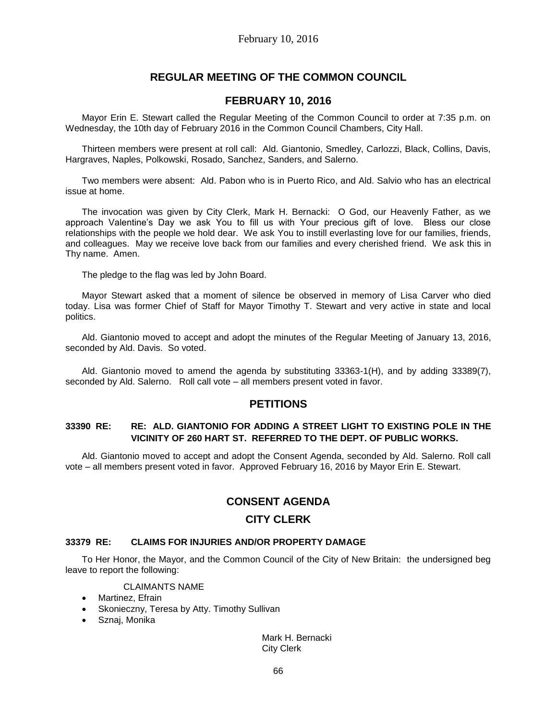# **REGULAR MEETING OF THE COMMON COUNCIL**

# **FEBRUARY 10, 2016**

Mayor Erin E. Stewart called the Regular Meeting of the Common Council to order at 7:35 p.m. on Wednesday, the 10th day of February 2016 in the Common Council Chambers, City Hall.

Thirteen members were present at roll call: Ald. Giantonio, Smedley, Carlozzi, Black, Collins, Davis, Hargraves, Naples, Polkowski, Rosado, Sanchez, Sanders, and Salerno.

Two members were absent: Ald. Pabon who is in Puerto Rico, and Ald. Salvio who has an electrical issue at home.

The invocation was given by City Clerk, Mark H. Bernacki: O God, our Heavenly Father, as we approach Valentine's Day we ask You to fill us with Your precious gift of love. Bless our close relationships with the people we hold dear. We ask You to instill everlasting love for our families, friends, and colleagues. May we receive love back from our families and every cherished friend. We ask this in Thy name. Amen.

The pledge to the flag was led by John Board.

Mayor Stewart asked that a moment of silence be observed in memory of Lisa Carver who died today. Lisa was former Chief of Staff for Mayor Timothy T. Stewart and very active in state and local politics.

Ald. Giantonio moved to accept and adopt the minutes of the Regular Meeting of January 13, 2016, seconded by Ald. Davis. So voted.

Ald. Giantonio moved to amend the agenda by substituting 33363-1(H), and by adding 33389(7), seconded by Ald. Salerno. Roll call vote – all members present voted in favor.

## **PETITIONS**

## **33390 RE: RE: ALD. GIANTONIO FOR ADDING A STREET LIGHT TO EXISTING POLE IN THE VICINITY OF 260 HART ST. REFERRED TO THE DEPT. OF PUBLIC WORKS.**

Ald. Giantonio moved to accept and adopt the Consent Agenda, seconded by Ald. Salerno. Roll call vote – all members present voted in favor. Approved February 16, 2016 by Mayor Erin E. Stewart.

# **CONSENT AGENDA**

## **CITY CLERK**

## **33379 RE: CLAIMS FOR INJURIES AND/OR PROPERTY DAMAGE**

To Her Honor, the Mayor, and the Common Council of the City of New Britain: the undersigned beg leave to report the following:

CLAIMANTS NAME

- Martinez, Efrain
- Skonieczny, Teresa by Atty. Timothy Sullivan
- Sznaj, Monika

Mark H. Bernacki City Clerk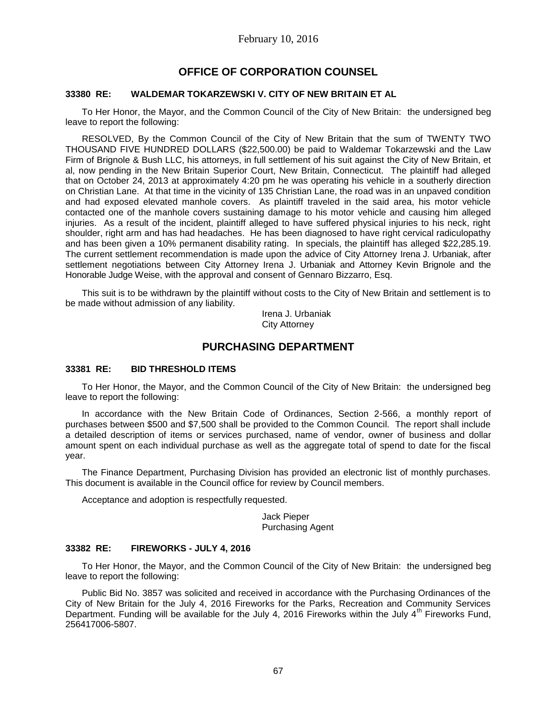# **OFFICE OF CORPORATION COUNSEL**

### **33380 RE: WALDEMAR TOKARZEWSKI V. CITY OF NEW BRITAIN ET AL**

To Her Honor, the Mayor, and the Common Council of the City of New Britain: the undersigned beg leave to report the following:

RESOLVED, By the Common Council of the City of New Britain that the sum of TWENTY TWO THOUSAND FIVE HUNDRED DOLLARS (\$22,500.00) be paid to Waldemar Tokarzewski and the Law Firm of Brignole & Bush LLC, his attorneys, in full settlement of his suit against the City of New Britain, et al, now pending in the New Britain Superior Court, New Britain, Connecticut. The plaintiff had alleged that on October 24, 2013 at approximately 4:20 pm he was operating his vehicle in a southerly direction on Christian Lane. At that time in the vicinity of 135 Christian Lane, the road was in an unpaved condition and had exposed elevated manhole covers. As plaintiff traveled in the said area, his motor vehicle contacted one of the manhole covers sustaining damage to his motor vehicle and causing him alleged injuries. As a result of the incident, plaintiff alleged to have suffered physical injuries to his neck, right shoulder, right arm and has had headaches. He has been diagnosed to have right cervical radiculopathy and has been given a 10% permanent disability rating. In specials, the plaintiff has alleged \$22,285.19. The current settlement recommendation is made upon the advice of City Attorney Irena J. Urbaniak, after settlement negotiations between City Attorney Irena J. Urbaniak and Attorney Kevin Brignole and the Honorable Judge Weise, with the approval and consent of Gennaro Bizzarro, Esq.

This suit is to be withdrawn by the plaintiff without costs to the City of New Britain and settlement is to be made without admission of any liability.

> Irena J. Urbaniak City Attorney

# **PURCHASING DEPARTMENT**

### **33381 RE: BID THRESHOLD ITEMS**

To Her Honor, the Mayor, and the Common Council of the City of New Britain: the undersigned beg leave to report the following:

In accordance with the New Britain Code of Ordinances, Section 2-566, a monthly report of purchases between \$500 and \$7,500 shall be provided to the Common Council. The report shall include a detailed description of items or services purchased, name of vendor, owner of business and dollar amount spent on each individual purchase as well as the aggregate total of spend to date for the fiscal year.

The Finance Department, Purchasing Division has provided an electronic list of monthly purchases. This document is available in the Council office for review by Council members.

Acceptance and adoption is respectfully requested.

Jack Pieper Purchasing Agent

### **33382 RE: FIREWORKS - JULY 4, 2016**

To Her Honor, the Mayor, and the Common Council of the City of New Britain: the undersigned beg leave to report the following:

Public Bid No. 3857 was solicited and received in accordance with the Purchasing Ordinances of the City of New Britain for the July 4, 2016 Fireworks for the Parks, Recreation and Community Services Department. Funding will be available for the July 4, 2016 Fireworks within the July  $4^{th}$  Fireworks Fund, 256417006-5807.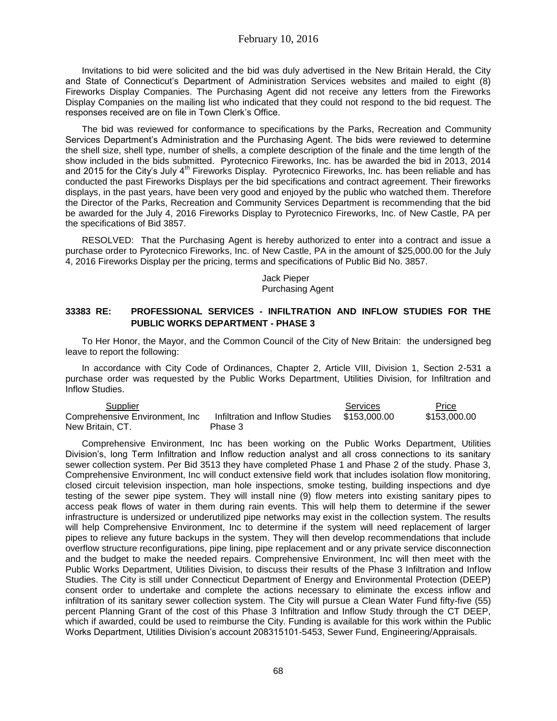Invitations to bid were solicited and the bid was duly advertised in the New Britain Herald, the City and State of Connecticut's Department of Administration Services websites and mailed to eight (8) Fireworks Display Companies. The Purchasing Agent did not receive any letters from the Fireworks Display Companies on the mailing list who indicated that they could not respond to the bid request. The responses received are on file in Town Clerk's Office.

The bid was reviewed for conformance to specifications by the Parks, Recreation and Community Services Department's Administration and the Purchasing Agent. The bids were reviewed to determine the shell size, shell type, number of shells, a complete description of the finale and the time length of the show included in the bids submitted. Pyrotecnico Fireworks, Inc. has be awarded the bid in 2013, 2014 and 2015 for the City's July 4<sup>th</sup> Fireworks Display. Pyrotecnico Fireworks, Inc. has been reliable and has conducted the past Fireworks Displays per the bid specifications and contract agreement. Their fireworks displays, in the past years, have been very good and enjoyed by the public who watched them. Therefore the Director of the Parks, Recreation and Community Services Department is recommending that the bid be awarded for the July 4, 2016 Fireworks Display to Pyrotecnico Fireworks, Inc. of New Castle, PA per the specifications of Bid 3857.

RESOLVED: That the Purchasing Agent is hereby authorized to enter into a contract and issue a purchase order to Pyrotecnico Fireworks, Inc. of New Castle, PA in the amount of \$25,000.00 for the July 4, 2016 Fireworks Display per the pricing, terms and specifications of Public Bid No. 3857.

> Jack Pieper Purchasing Agent

## **33383 RE: PROFESSIONAL SERVICES - INFILTRATION AND INFLOW STUDIES FOR THE PUBLIC WORKS DEPARTMENT - PHASE 3**

To Her Honor, the Mayor, and the Common Council of the City of New Britain: the undersigned beg leave to report the following:

In accordance with City Code of Ordinances, Chapter 2, Article VIII, Division 1, Section 2-531 a purchase order was requested by the Public Works Department, Utilities Division, for Infiltration and Inflow Studies.

| <u>Supplier</u>                 |                                 | Services     | Price        |
|---------------------------------|---------------------------------|--------------|--------------|
| Comprehensive Environment, Inc. | Infiltration and Inflow Studies | \$153.000.00 | \$153,000.00 |
| New Britain, CT.                | Phase 3                         |              |              |

Comprehensive Environment, Inc has been working on the Public Works Department, Utilities Division's, long Term Infiltration and Inflow reduction analyst and all cross connections to its sanitary sewer collection system. Per Bid 3513 they have completed Phase 1 and Phase 2 of the study. Phase 3, Comprehensive Environment, Inc will conduct extensive field work that includes isolation flow monitoring, closed circuit television inspection, man hole inspections, smoke testing, building inspections and dye testing of the sewer pipe system. They will install nine (9) flow meters into existing sanitary pipes to access peak flows of water in them during rain events. This will help them to determine if the sewer infrastructure is undersized or underutilized pipe networks may exist in the collection system. The results will help Comprehensive Environment, Inc to determine if the system will need replacement of larger pipes to relieve any future backups in the system. They will then develop recommendations that include overflow structure reconfigurations, pipe lining, pipe replacement and or any private service disconnection and the budget to make the needed repairs. Comprehensive Environment, Inc will then meet with the Public Works Department, Utilities Division, to discuss their results of the Phase 3 Infiltration and Inflow Studies. The City is still under Connecticut Department of Energy and Environmental Protection (DEEP) consent order to undertake and complete the actions necessary to eliminate the excess inflow and infiltration of its sanitary sewer collection system. The City will pursue a Clean Water Fund fifty-five (55) percent Planning Grant of the cost of this Phase 3 Infiltration and Inflow Study through the CT DEEP, which if awarded, could be used to reimburse the City. Funding is available for this work within the Public Works Department, Utilities Division's account 208315101-5453, Sewer Fund, Engineering/Appraisals.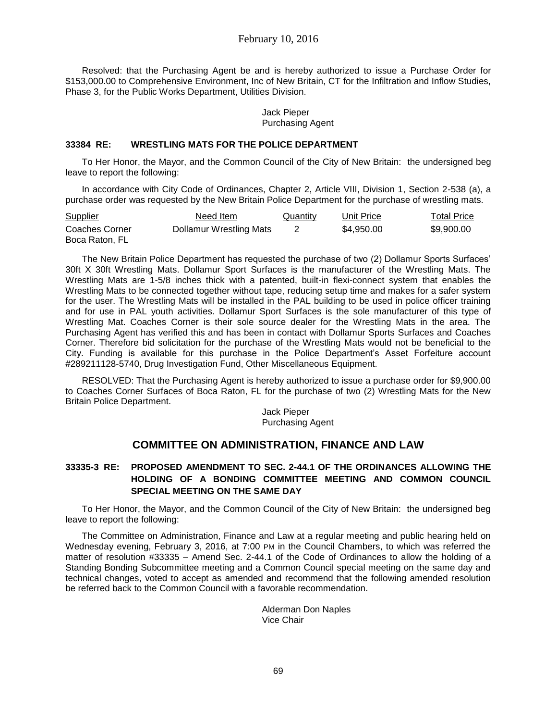Resolved: that the Purchasing Agent be and is hereby authorized to issue a Purchase Order for \$153,000.00 to Comprehensive Environment, Inc of New Britain, CT for the Infiltration and Inflow Studies, Phase 3, for the Public Works Department, Utilities Division.

### Jack Pieper Purchasing Agent

### **33384 RE: WRESTLING MATS FOR THE POLICE DEPARTMENT**

To Her Honor, the Mayor, and the Common Council of the City of New Britain: the undersigned beg leave to report the following:

In accordance with City Code of Ordinances, Chapter 2, Article VIII, Division 1, Section 2-538 (a), a purchase order was requested by the New Britain Police Department for the purchase of wrestling mats.

| Supplier                         | Need Item               | Quantity | Unit Price | Total Price |
|----------------------------------|-------------------------|----------|------------|-------------|
| Coaches Corner<br>Boca Raton, FL | Dollamur Wrestling Mats |          | \$4.950.00 | \$9,900,00  |

The New Britain Police Department has requested the purchase of two (2) Dollamur Sports Surfaces' 30ft X 30ft Wrestling Mats. Dollamur Sport Surfaces is the manufacturer of the Wrestling Mats. The Wrestling Mats are 1-5/8 inches thick with a patented, built-in flexi-connect system that enables the Wrestling Mats to be connected together without tape, reducing setup time and makes for a safer system for the user. The Wrestling Mats will be installed in the PAL building to be used in police officer training and for use in PAL youth activities. Dollamur Sport Surfaces is the sole manufacturer of this type of Wrestling Mat. Coaches Corner is their sole source dealer for the Wrestling Mats in the area. The Purchasing Agent has verified this and has been in contact with Dollamur Sports Surfaces and Coaches Corner. Therefore bid solicitation for the purchase of the Wrestling Mats would not be beneficial to the City. Funding is available for this purchase in the Police Department's Asset Forfeiture account #289211128-5740, Drug Investigation Fund, Other Miscellaneous Equipment.

RESOLVED: That the Purchasing Agent is hereby authorized to issue a purchase order for \$9,900.00 to Coaches Corner Surfaces of Boca Raton, FL for the purchase of two (2) Wrestling Mats for the New Britain Police Department.

Jack Pieper Purchasing Agent

# **COMMITTEE ON ADMINISTRATION, FINANCE AND LAW**

# **33335-3 RE: PROPOSED AMENDMENT TO SEC. 2-44.1 OF THE ORDINANCES ALLOWING THE HOLDING OF A BONDING COMMITTEE MEETING AND COMMON COUNCIL SPECIAL MEETING ON THE SAME DAY**

To Her Honor, the Mayor, and the Common Council of the City of New Britain: the undersigned beg leave to report the following:

The Committee on Administration, Finance and Law at a regular meeting and public hearing held on Wednesday evening, February 3, 2016, at 7:00 PM in the Council Chambers, to which was referred the matter of resolution #33335 – Amend Sec. 2-44.1 of the Code of Ordinances to allow the holding of a Standing Bonding Subcommittee meeting and a Common Council special meeting on the same day and technical changes, voted to accept as amended and recommend that the following amended resolution be referred back to the Common Council with a favorable recommendation.

> Alderman Don Naples Vice Chair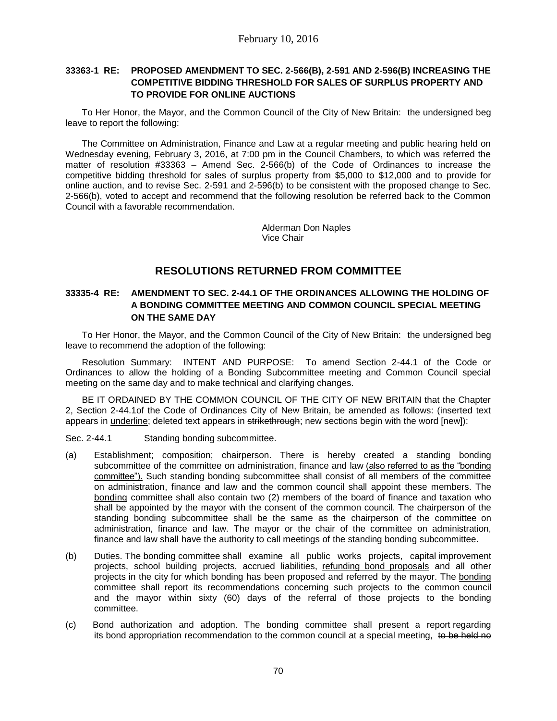# **33363-1 RE: PROPOSED AMENDMENT TO SEC. 2-566(B), 2-591 AND 2-596(B) INCREASING THE COMPETITIVE BIDDING THRESHOLD FOR SALES OF SURPLUS PROPERTY AND TO PROVIDE FOR ONLINE AUCTIONS**

To Her Honor, the Mayor, and the Common Council of the City of New Britain: the undersigned beg leave to report the following:

The Committee on Administration, Finance and Law at a regular meeting and public hearing held on Wednesday evening, February 3, 2016, at 7:00 pm in the Council Chambers, to which was referred the matter of resolution #33363 – Amend Sec. 2-566(b) of the Code of Ordinances to increase the competitive bidding threshold for sales of surplus property from \$5,000 to \$12,000 and to provide for online auction, and to revise Sec. 2-591 and 2-596(b) to be consistent with the proposed change to Sec. 2-566(b), voted to accept and recommend that the following resolution be referred back to the Common Council with a favorable recommendation.

> Alderman Don Naples Vice Chair

# **RESOLUTIONS RETURNED FROM COMMITTEE**

# **33335-4 RE: AMENDMENT TO SEC. 2-44.1 OF THE ORDINANCES ALLOWING THE HOLDING OF A BONDING COMMITTEE MEETING AND COMMON COUNCIL SPECIAL MEETING ON THE SAME DAY**

To Her Honor, the Mayor, and the Common Council of the City of New Britain: the undersigned beg leave to recommend the adoption of the following:

Resolution Summary: INTENT AND PURPOSE: To amend Section 2-44.1 of the Code or Ordinances to allow the holding of a Bonding Subcommittee meeting and Common Council special meeting on the same day and to make technical and clarifying changes.

BE IT ORDAINED BY THE COMMON COUNCIL OF THE CITY OF NEW BRITAIN that the Chapter 2, Section 2-44.1of the Code of Ordinances City of New Britain, be amended as follows: (inserted text appears in underline; deleted text appears in strikethrough; new sections begin with the word [new]):

Sec. 2-44.1 Standing bonding subcommittee.

- (a) Establishment; composition; chairperson. There is hereby created a standing bonding subcommittee of the committee on administration, finance and law (also referred to as the "bonding committee"). Such standing bonding subcommittee shall consist of all members of the committee on administration, finance and law and the common council shall appoint these members. The bonding committee shall also contain two (2) members of the board of finance and taxation who shall be appointed by the mayor with the consent of the common council. The chairperson of the standing bonding subcommittee shall be the same as the chairperson of the committee on administration, finance and law. The mayor or the chair of the committee on administration, finance and law shall have the authority to call meetings of the standing bonding subcommittee.
- (b) Duties. The bonding committee shall examine all public works projects, capital improvement projects, school building projects, accrued liabilities, refunding bond proposals and all other projects in the city for which bonding has been proposed and referred by the mayor. The bonding committee shall report its recommendations concerning such projects to the common council and the mayor within sixty (60) days of the referral of those projects to the bonding committee.
- (c) Bond authorization and adoption. The bonding committee shall present a report regarding its bond appropriation recommendation to the common council at a special meeting, to be held no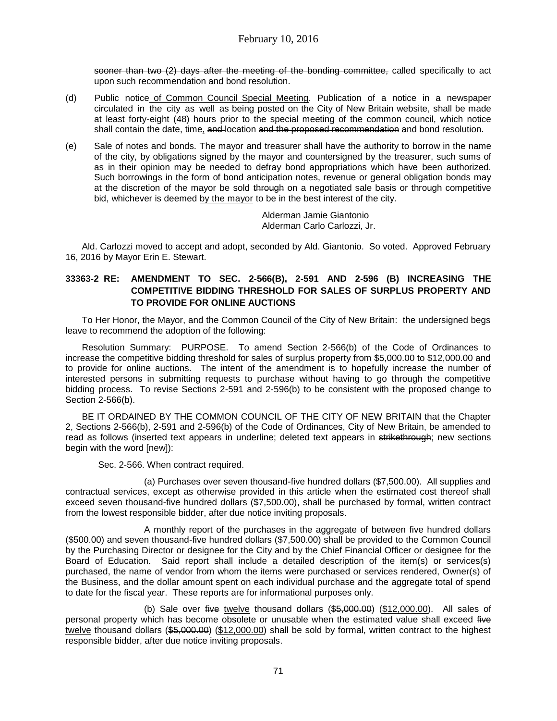sooner than two (2) days after the meeting of the bonding committee, called specifically to act upon such recommendation and bond resolution.

- (d) Public notice of Common Council Special Meeting. Publication of a notice in a newspaper circulated in the city as well as being posted on the City of New Britain website, shall be made at least forty-eight (48) hours prior to the special meeting of the common council, which notice shall contain the date, time, and location and the proposed recommendation and bond resolution.
- (e) Sale of notes and bonds. The mayor and treasurer shall have the authority to borrow in the name of the city, by obligations signed by the mayor and countersigned by the treasurer, such sums of as in their opinion may be needed to defray bond appropriations which have been authorized. Such borrowings in the form of bond anticipation notes, revenue or general obligation bonds may at the discretion of the mayor be sold through on a negotiated sale basis or through competitive bid, whichever is deemed by the mayor to be in the best interest of the city.

Alderman Jamie Giantonio Alderman Carlo Carlozzi, Jr.

Ald. Carlozzi moved to accept and adopt, seconded by Ald. Giantonio. So voted. Approved February 16, 2016 by Mayor Erin E. Stewart.

# **33363-2 RE: AMENDMENT TO SEC. 2-566(B), 2-591 AND 2-596 (B) INCREASING THE COMPETITIVE BIDDING THRESHOLD FOR SALES OF SURPLUS PROPERTY AND TO PROVIDE FOR ONLINE AUCTIONS**

To Her Honor, the Mayor, and the Common Council of the City of New Britain: the undersigned begs leave to recommend the adoption of the following:

Resolution Summary: PURPOSE. To amend Section 2-566(b) of the Code of Ordinances to increase the competitive bidding threshold for sales of surplus property from \$5,000.00 to \$12,000.00 and to provide for online auctions. The intent of the amendment is to hopefully increase the number of interested persons in submitting requests to purchase without having to go through the competitive bidding process. To revise Sections 2-591 and 2-596(b) to be consistent with the proposed change to Section 2-566(b).

BE IT ORDAINED BY THE COMMON COUNCIL OF THE CITY OF NEW BRITAIN that the Chapter 2, Sections 2-566(b), 2-591 and 2-596(b) of the Code of Ordinances, City of New Britain, be amended to read as follows (inserted text appears in underline; deleted text appears in strikethrough; new sections begin with the word [new]):

Sec. 2-566. When contract required.

(a) Purchases over seven thousand-five hundred dollars (\$7,500.00). All supplies and contractual services, except as otherwise provided in this article when the estimated cost thereof shall exceed seven thousand-five hundred dollars (\$7,500.00), shall be purchased by formal, written contract from the lowest responsible bidder, after due notice inviting proposals.

A monthly report of the purchases in the aggregate of between five hundred dollars (\$500.00) and seven thousand-five hundred dollars (\$7,500.00) shall be provided to the Common Council by the Purchasing Director or designee for the City and by the Chief Financial Officer or designee for the Board of Education. Said report shall include a detailed description of the item(s) or services(s) purchased, the name of vendor from whom the items were purchased or services rendered, Owner(s) of the Business, and the dollar amount spent on each individual purchase and the aggregate total of spend to date for the fiscal year. These reports are for informational purposes only.

(b) Sale over five twelve thousand dollars  $(\$5,000.00)$  (\$12,000.00). All sales of personal property which has become obsolete or unusable when the estimated value shall exceed five twelve thousand dollars (\$5,000.00) (\$12,000.00) shall be sold by formal, written contract to the highest responsible bidder, after due notice inviting proposals.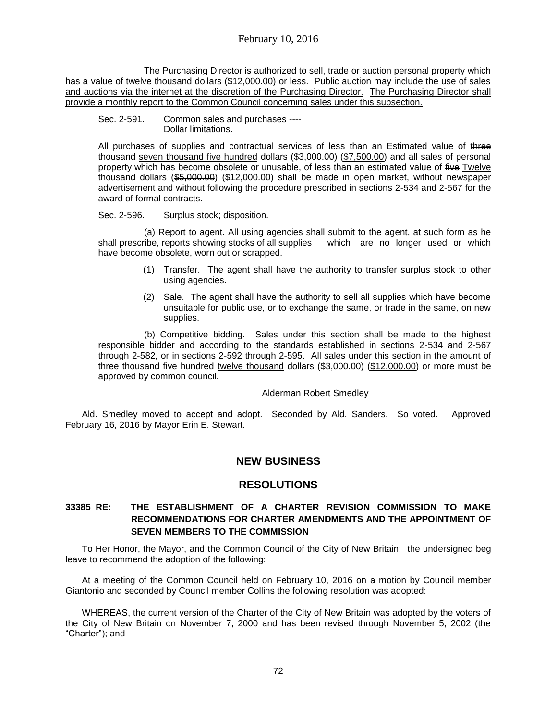# February 10, 2016

The Purchasing Director is authorized to sell, trade or auction personal property which has a value of twelve thousand dollars (\$12,000.00) or less. Public auction may include the use of sales and auctions via the internet at the discretion of the Purchasing Director. The Purchasing Director shall provide a monthly report to the Common Council concerning sales under this subsection.

#### Sec. 2-591. Common sales and purchases ---- Dollar limitations.

All purchases of supplies and contractual services of less than an Estimated value of three thousand seven thousand five hundred dollars (\$3,000.00) (\$7,500.00) and all sales of personal property which has become obsolete or unusable, of less than an estimated value of five Twelve thousand dollars (\$5,000.00) (\$12,000.00) shall be made in open market, without newspaper advertisement and without following the procedure prescribed in sections 2-534 and 2-567 for the award of formal contracts.

### Sec. 2-596. Surplus stock; disposition.

(a) Report to agent. All using agencies shall submit to the agent, at such form as he shall prescribe, reports showing stocks of all supplies which are no longer used or which have become obsolete, worn out or scrapped.

- (1) Transfer. The agent shall have the authority to transfer surplus stock to other using agencies.
- (2) Sale. The agent shall have the authority to sell all supplies which have become unsuitable for public use, or to exchange the same, or trade in the same, on new supplies.

(b) Competitive bidding. Sales under this section shall be made to the highest responsible bidder and according to the standards established in sections 2-534 and 2-567 through 2-582, or in sections 2-592 through 2-595. All sales under this section in the amount of three thousand five hundred twelve thousand dollars (\$3,000.00) (\$12,000.00) or more must be approved by common council.

### Alderman Robert Smedley

Ald. Smedley moved to accept and adopt. Seconded by Ald. Sanders. So voted. Approved February 16, 2016 by Mayor Erin E. Stewart.

# **NEW BUSINESS**

## **RESOLUTIONS**

## **33385 RE: THE ESTABLISHMENT OF A CHARTER REVISION COMMISSION TO MAKE RECOMMENDATIONS FOR CHARTER AMENDMENTS AND THE APPOINTMENT OF SEVEN MEMBERS TO THE COMMISSION**

To Her Honor, the Mayor, and the Common Council of the City of New Britain: the undersigned beg leave to recommend the adoption of the following:

At a meeting of the Common Council held on February 10, 2016 on a motion by Council member Giantonio and seconded by Council member Collins the following resolution was adopted:

WHEREAS, the current version of the Charter of the City of New Britain was adopted by the voters of the City of New Britain on November 7, 2000 and has been revised through November 5, 2002 (the "Charter"); and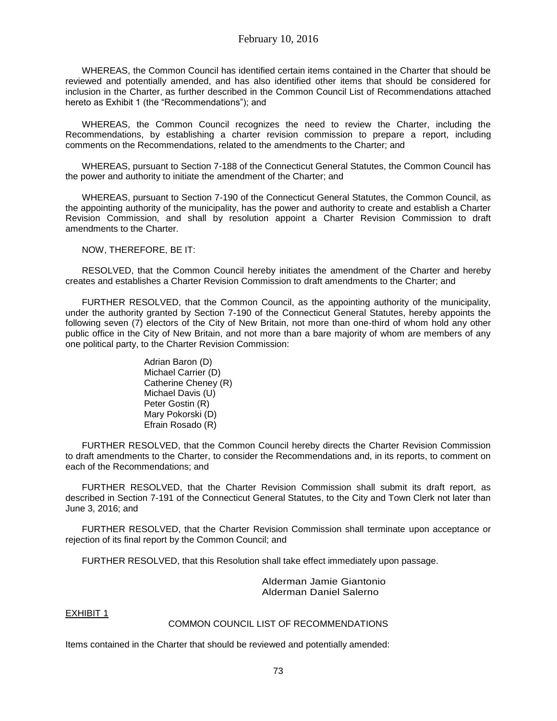WHEREAS, the Common Council has identified certain items contained in the Charter that should be reviewed and potentially amended, and has also identified other items that should be considered for inclusion in the Charter, as further described in the Common Council List of Recommendations attached hereto as Exhibit 1 (the "Recommendations"); and

WHEREAS, the Common Council recognizes the need to review the Charter, including the Recommendations, by establishing a charter revision commission to prepare a report, including comments on the Recommendations, related to the amendments to the Charter; and

WHEREAS, pursuant to Section 7-188 of the Connecticut General Statutes, the Common Council has the power and authority to initiate the amendment of the Charter; and

WHEREAS, pursuant to Section 7-190 of the Connecticut General Statutes, the Common Council, as the appointing authority of the municipality, has the power and authority to create and establish a Charter Revision Commission, and shall by resolution appoint a Charter Revision Commission to draft amendments to the Charter.

NOW, THEREFORE, BE IT:

RESOLVED, that the Common Council hereby initiates the amendment of the Charter and hereby creates and establishes a Charter Revision Commission to draft amendments to the Charter; and

FURTHER RESOLVED, that the Common Council, as the appointing authority of the municipality, under the authority granted by Section 7-190 of the Connecticut General Statutes, hereby appoints the following seven (7) electors of the City of New Britain, not more than one-third of whom hold any other public office in the City of New Britain, and not more than a bare majority of whom are members of any one political party, to the Charter Revision Commission:

> Adrian Baron (D) Michael Carrier (D) Catherine Cheney (R) Michael Davis (U) Peter Gostin (R) Mary Pokorski (D) Efrain Rosado (R)

FURTHER RESOLVED, that the Common Council hereby directs the Charter Revision Commission to draft amendments to the Charter, to consider the Recommendations and, in its reports, to comment on each of the Recommendations; and

FURTHER RESOLVED, that the Charter Revision Commission shall submit its draft report, as described in Section 7-191 of the Connecticut General Statutes, to the City and Town Clerk not later than June 3, 2016; and

FURTHER RESOLVED, that the Charter Revision Commission shall terminate upon acceptance or rejection of its final report by the Common Council; and

FURTHER RESOLVED, that this Resolution shall take effect immediately upon passage.

Alderman Jamie Giantonio Alderman Daniel Salerno

EXHIBIT 1

#### COMMON COUNCIL LIST OF RECOMMENDATIONS

Items contained in the Charter that should be reviewed and potentially amended: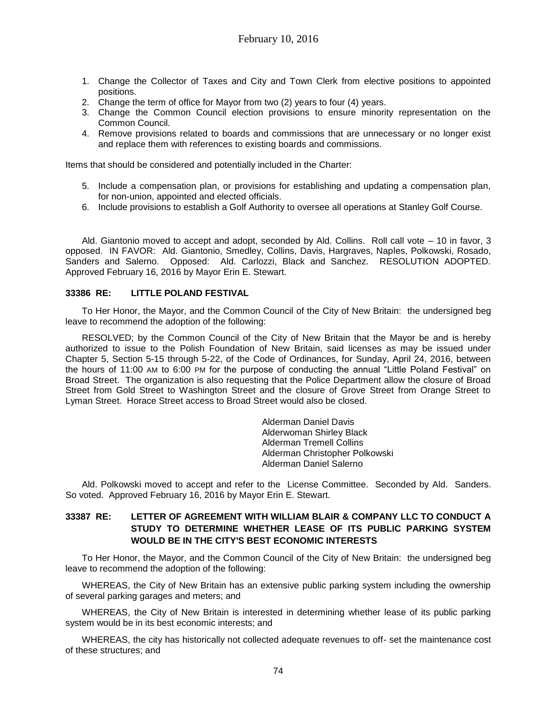- 1. Change the Collector of Taxes and City and Town Clerk from elective positions to appointed positions.
- 2. Change the term of office for Mayor from two (2) years to four (4) years.
- 3. Change the Common Council election provisions to ensure minority representation on the Common Council.
- 4. Remove provisions related to boards and commissions that are unnecessary or no longer exist and replace them with references to existing boards and commissions.

Items that should be considered and potentially included in the Charter:

- 5. Include a compensation plan, or provisions for establishing and updating a compensation plan, for non-union, appointed and elected officials.
- 6. Include provisions to establish a Golf Authority to oversee all operations at Stanley Golf Course.

Ald. Giantonio moved to accept and adopt, seconded by Ald. Collins. Roll call vote – 10 in favor, 3 opposed. IN FAVOR: Ald. Giantonio, Smedley, Collins, Davis, Hargraves, Naples, Polkowski, Rosado, Sanders and Salerno. Opposed: Ald. Carlozzi, Black and Sanchez. RESOLUTION ADOPTED. Approved February 16, 2016 by Mayor Erin E. Stewart.

### **33386 RE: LITTLE POLAND FESTIVAL**

To Her Honor, the Mayor, and the Common Council of the City of New Britain: the undersigned beg leave to recommend the adoption of the following:

RESOLVED; by the Common Council of the City of New Britain that the Mayor be and is hereby authorized to issue to the Polish Foundation of New Britain, said licenses as may be issued under Chapter 5, Section 5-15 through 5-22, of the Code of Ordinances, for Sunday, April 24, 2016, between the hours of 11:00 AM to 6:00 PM for the purpose of conducting the annual "Little Poland Festival" on Broad Street. The organization is also requesting that the Police Department allow the closure of Broad Street from Gold Street to Washington Street and the closure of Grove Street from Orange Street to Lyman Street. Horace Street access to Broad Street would also be closed.

> Alderman Daniel Davis Alderwoman Shirley Black Alderman Tremell Collins Alderman Christopher Polkowski Alderman Daniel Salerno

Ald. Polkowski moved to accept and refer to the License Committee. Seconded by Ald. Sanders. So voted. Approved February 16, 2016 by Mayor Erin E. Stewart.

## **33387 RE: LETTER OF AGREEMENT WITH WILLIAM BLAIR & COMPANY LLC TO CONDUCT A STUDY TO DETERMINE WHETHER LEASE OF ITS PUBLIC PARKING SYSTEM WOULD BE IN THE CITY'S BEST ECONOMIC INTERESTS**

To Her Honor, the Mayor, and the Common Council of the City of New Britain: the undersigned beg leave to recommend the adoption of the following:

WHEREAS, the City of New Britain has an extensive public parking system including the ownership of several parking garages and meters; and

WHEREAS, the City of New Britain is interested in determining whether lease of its public parking system would be in its best economic interests; and

WHEREAS, the city has historically not collected adequate revenues to off- set the maintenance cost of these structures; and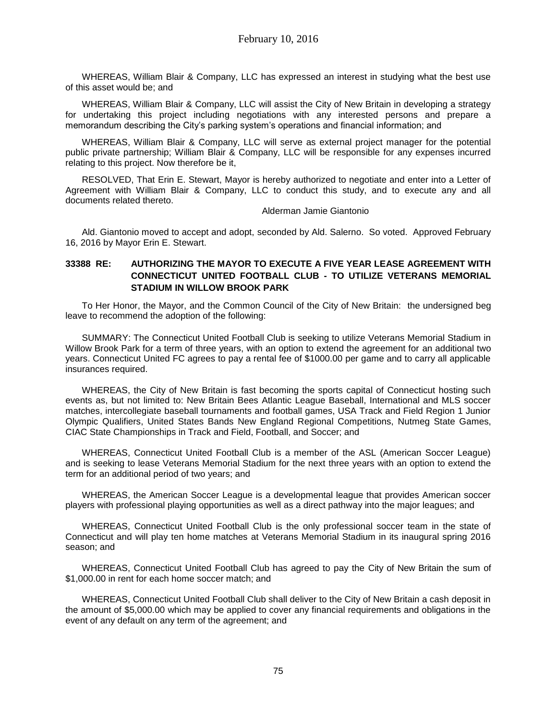WHEREAS, William Blair & Company, LLC has expressed an interest in studying what the best use of this asset would be; and

WHEREAS, William Blair & Company, LLC will assist the City of New Britain in developing a strategy for undertaking this project including negotiations with any interested persons and prepare a memorandum describing the City's parking system's operations and financial information; and

WHEREAS, William Blair & Company, LLC will serve as external project manager for the potential public private partnership; William Blair & Company, LLC will be responsible for any expenses incurred relating to this project. Now therefore be it,

RESOLVED, That Erin E. Stewart, Mayor is hereby authorized to negotiate and enter into a Letter of Agreement with William Blair & Company, LLC to conduct this study, and to execute any and all documents related thereto.

Alderman Jamie Giantonio

Ald. Giantonio moved to accept and adopt, seconded by Ald. Salerno. So voted. Approved February 16, 2016 by Mayor Erin E. Stewart.

## **33388 RE: AUTHORIZING THE MAYOR TO EXECUTE A FIVE YEAR LEASE AGREEMENT WITH CONNECTICUT UNITED FOOTBALL CLUB - TO UTILIZE VETERANS MEMORIAL STADIUM IN WILLOW BROOK PARK**

To Her Honor, the Mayor, and the Common Council of the City of New Britain: the undersigned beg leave to recommend the adoption of the following:

SUMMARY: The Connecticut United Football Club is seeking to utilize Veterans Memorial Stadium in Willow Brook Park for a term of three years, with an option to extend the agreement for an additional two years. Connecticut United FC agrees to pay a rental fee of \$1000.00 per game and to carry all applicable insurances required.

WHEREAS, the City of New Britain is fast becoming the sports capital of Connecticut hosting such events as, but not limited to: New Britain Bees Atlantic League Baseball, International and MLS soccer matches, intercollegiate baseball tournaments and football games, USA Track and Field Region 1 Junior Olympic Qualifiers, United States Bands New England Regional Competitions, Nutmeg State Games, CIAC State Championships in Track and Field, Football, and Soccer; and

WHEREAS, Connecticut United Football Club is a member of the ASL (American Soccer League) and is seeking to lease Veterans Memorial Stadium for the next three years with an option to extend the term for an additional period of two years; and

WHEREAS, the American Soccer League is a developmental league that provides American soccer players with professional playing opportunities as well as a direct pathway into the major leagues; and

WHEREAS, Connecticut United Football Club is the only professional soccer team in the state of Connecticut and will play ten home matches at Veterans Memorial Stadium in its inaugural spring 2016 season; and

WHEREAS, Connecticut United Football Club has agreed to pay the City of New Britain the sum of \$1,000.00 in rent for each home soccer match; and

WHEREAS, Connecticut United Football Club shall deliver to the City of New Britain a cash deposit in the amount of \$5,000.00 which may be applied to cover any financial requirements and obligations in the event of any default on any term of the agreement; and